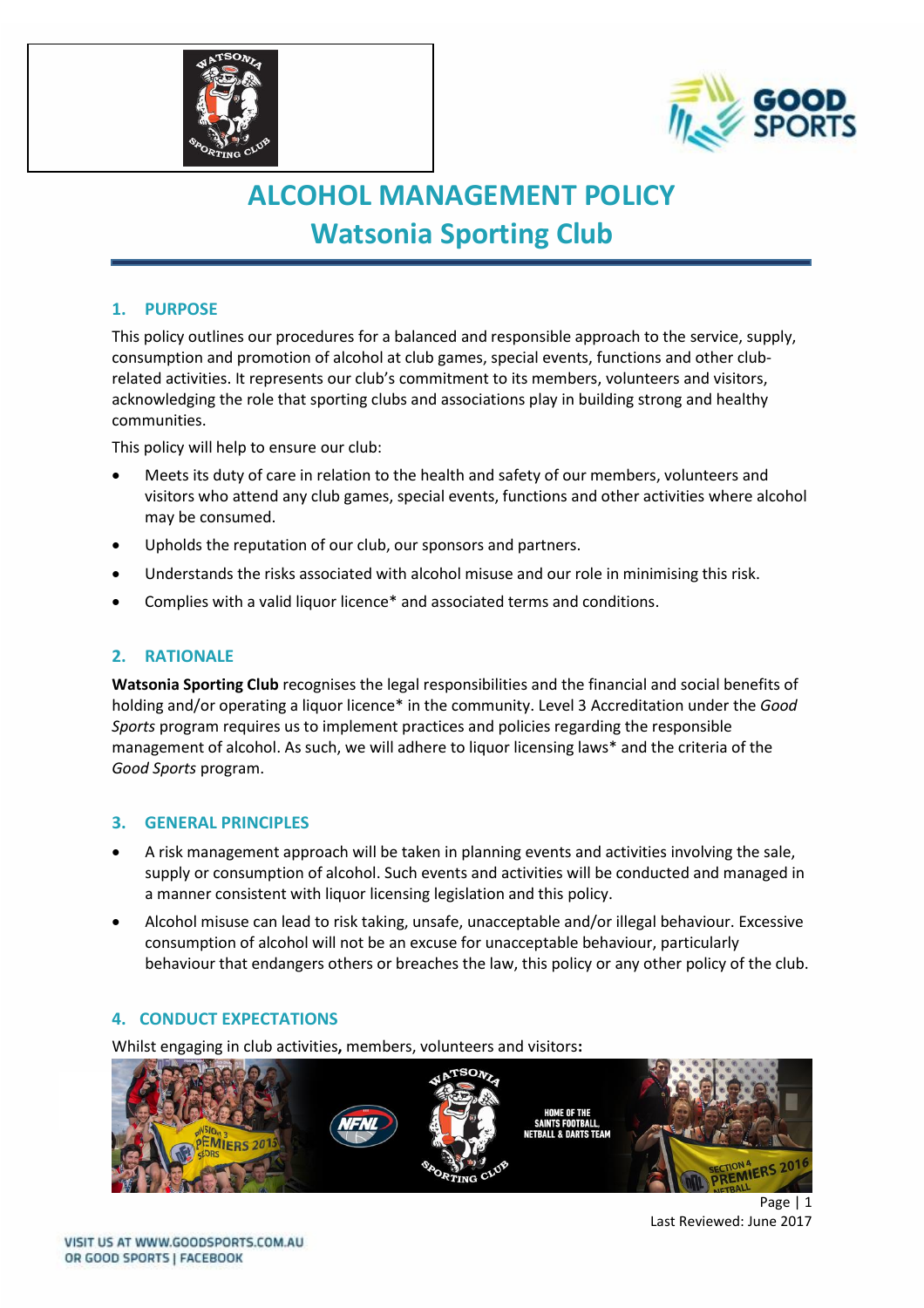



# **ALCOHOL MANAGEMENT POLICY Watsonia Sporting Club**

## **1. PURPOSE**

This policy outlines our procedures for a balanced and responsible approach to the service, supply, consumption and promotion of alcohol at club games, special events, functions and other clubrelated activities. It represents our club's commitment to its members, volunteers and visitors, acknowledging the role that sporting clubs and associations play in building strong and healthy communities.

This policy will help to ensure our club:

- Meets its duty of care in relation to the health and safety of our members, volunteers and visitors who attend any club games, special events, functions and other activities where alcohol may be consumed.
- Upholds the reputation of our club, our sponsors and partners.
- Understands the risks associated with alcohol misuse and our role in minimising this risk.
- Complies with a valid liquor licence\* and associated terms and conditions.

#### **2. RATIONALE**

**Watsonia Sporting Club** recognises the legal responsibilities and the financial and social benefits of holding and/or operating a liquor licence\* in the community. Level 3 Accreditation under the *Good Sports* program requires us to implement practices and policies regarding the responsible management of alcohol. As such, we will adhere to liquor licensing laws\* and the criteria of the *Good Sports* program.

#### **3. GENERAL PRINCIPLES**

- A risk management approach will be taken in planning events and activities involving the sale, supply or consumption of alcohol. Such events and activities will be conducted and managed in a manner consistent with liquor licensing legislation and this policy.
- Alcohol misuse can lead to risk taking, unsafe, unacceptable and/or illegal behaviour. Excessive consumption of alcohol will not be an excuse for unacceptable behaviour, particularly behaviour that endangers others or breaches the law, this policy or any other policy of the club.

#### **4. CONDUCT EXPECTATIONS**

Whilst engaging in club activities**,** members, volunteers and visitors**:**



Page | 1 Last Reviewed: June 2017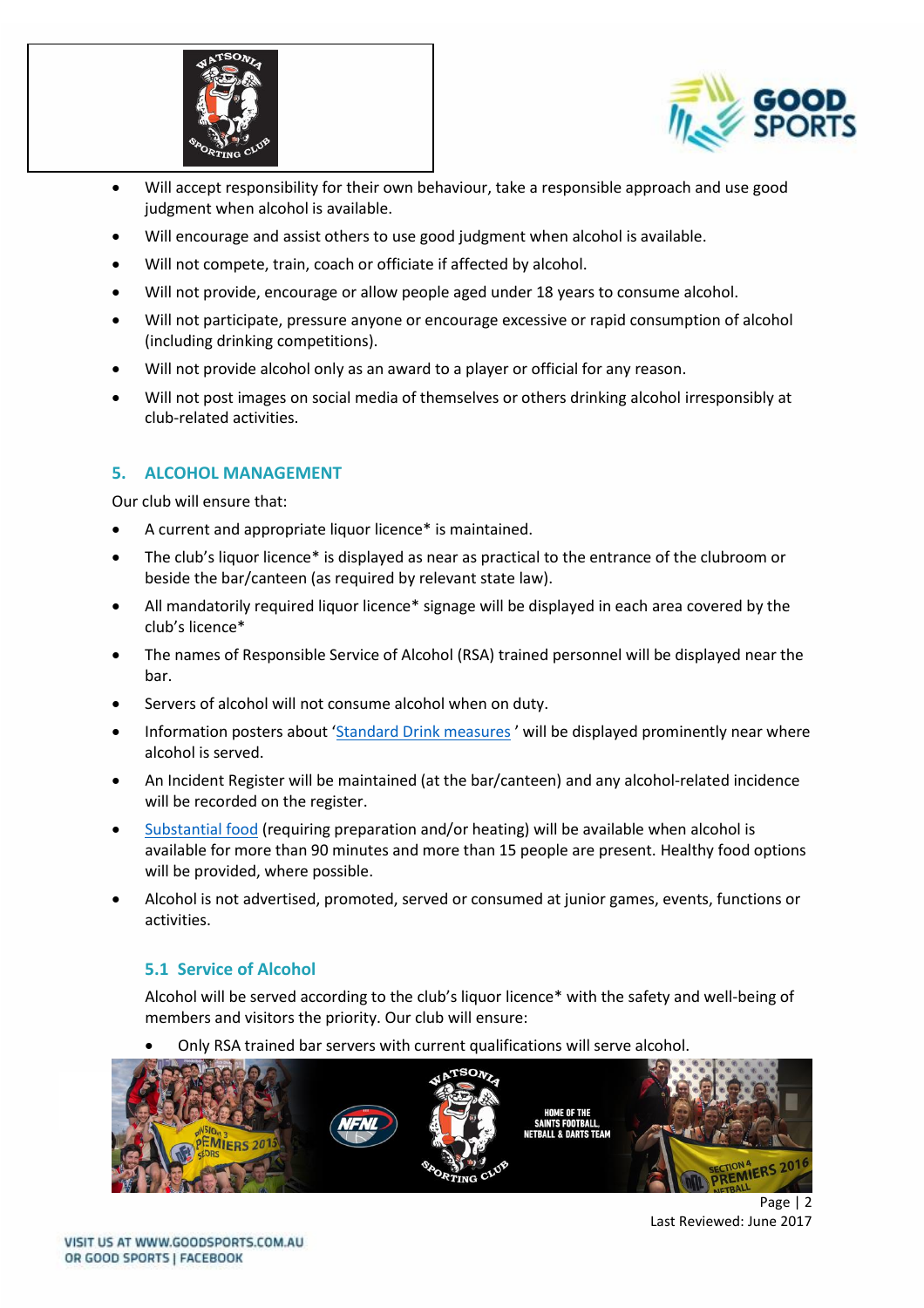



- Will accept responsibility for their own behaviour, take a responsible approach and use good judgment when alcohol is available.
- Will encourage and assist others to use good judgment when alcohol is available.
- Will not compete, train, coach or officiate if affected by alcohol.
- Will not provide, encourage or allow people aged under 18 years to consume alcohol.
- Will not participate, pressure anyone or encourage excessive or rapid consumption of alcohol (including drinking competitions).
- Will not provide alcohol only as an award to a player or official for any reason.
- Will not post images on social media of themselves or others drinking alcohol irresponsibly at club-related activities.

# **5. ALCOHOL MANAGEMENT**

Our club will ensure that:

- A current and appropriate liquor licence\* is maintained.
- The club's liquor licence\* is displayed as near as practical to the entrance of the clubroom or beside the bar/canteen (as required by relevant state law).
- All mandatorily required liquor licence\* signage will be displayed in each area covered by the club's licence\*
- The names of Responsible Service of Alcohol (RSA) trained personnel will be displayed near the bar.
- Servers of alcohol will not consume alcohol when on duty.
- Information posters about '[Standard Drink measures](file://///ADF-FILE/adf/Community%20Programs/Good%20Sports/MARKETING/Merchandise/Designs/2015/Double%20sided%20accreditation%20poster/ADF112%20Standard%20Drinks%20Poster%20A4%20ART-2_FINAL.pdf)' will be displayed prominently near where alcohol is served.
- An Incident Register will be maintained (at the bar/canteen) and any alcohol-related incidence will be recorded on the register.
- [Substantial food](file:///G:/Community%20Programs/Good%20Sports/Program%20Development%20Team%20-%20Good%20Sports/3.%20Program%20Resource%20Development/Resource%20Review%202016-2017/1.%20National%20Resources/Resource%205%20-%20Substantial%20Food%20Info%20Sheet/gs-substantial-food-information-sheet-20170130-v0.3.docx) (requiring preparation and/or heating) will be available when alcohol is available for more than 90 minutes and more than 15 people are present. Healthy food options will be provided, where possible.
- Alcohol is not advertised, promoted, served or consumed at junior games, events, functions or activities.

# **5.1 Service of Alcohol**

Alcohol will be served according to the club's liquor licence\* with the safety and well-being of members and visitors the priority. Our club will ensure:

• Only RSA trained bar servers with current qualifications will serve alcohol.



Page | 2 Last Reviewed: June 2017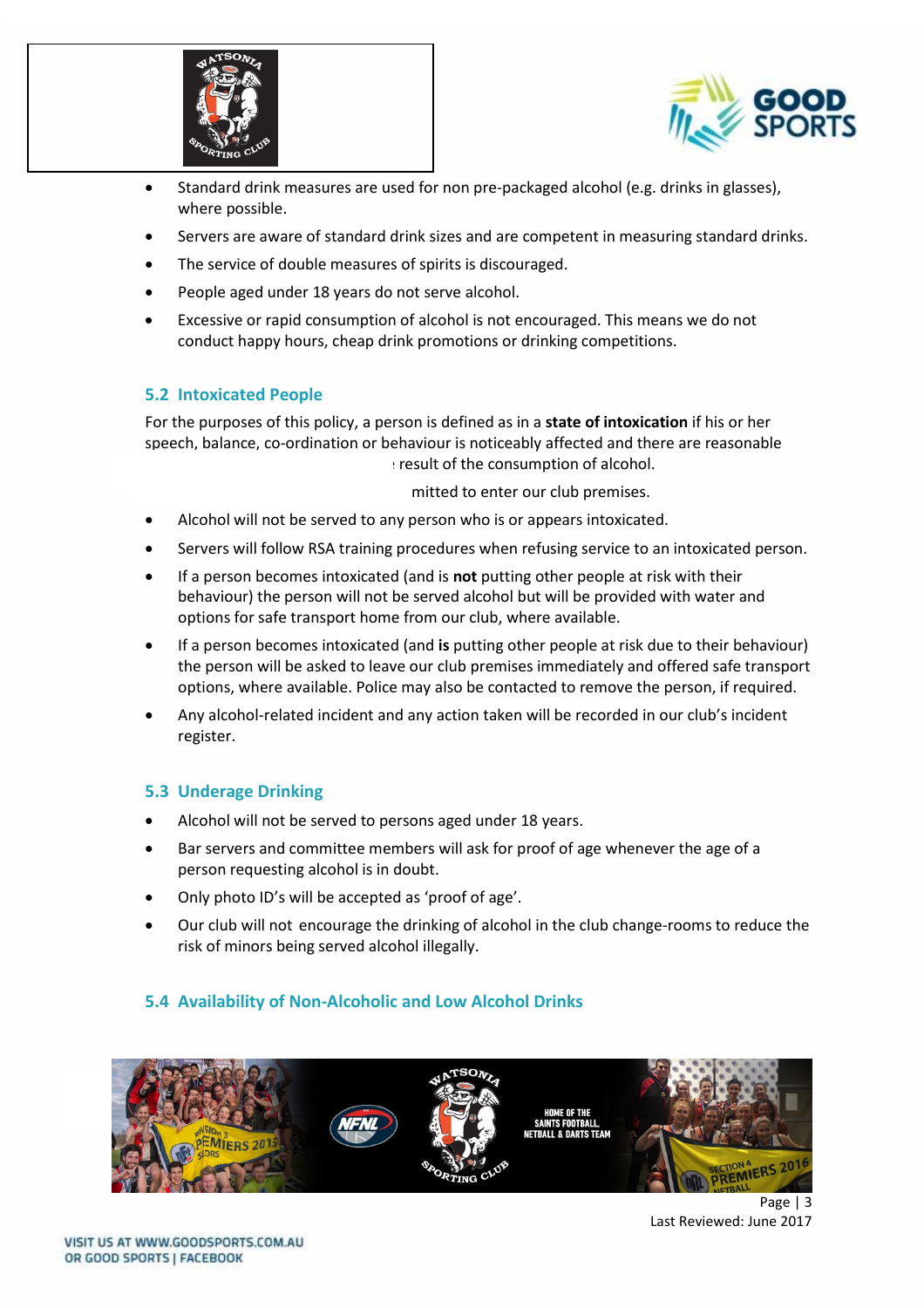



- Standard drink measures are used for non pre-packaged alcohol (e.g. drinks in glasses), where possible.
- Servers are aware of standard drink sizes and are competent in measuring standard drinks.
- The service of double measures of spirits is discouraged.
- People aged under 18 years do not serve alcohol.
- Excessive or rapid consumption of alcohol is not encouraged. This means we do not conduct happy hours, cheap drink promotions or drinking competitions.

# **5.2 Intoxicated People**

For the purposes of this policy, a person is defined as in a **state of intoxication** if his or her speech, balance, co-ordination or behaviour is noticeably affected and there are reasonable  $\pm$  result of the consumption of alcohol.

mitted to enter our club premises.

- Alcohol will not be served to any person who is or appears intoxicated.
- Servers will follow RSA training procedures when refusing service to an intoxicated person.
- If a person becomes intoxicated (and is **not** putting other people at risk with their behaviour) the person will not be served alcohol but will be provided with water and options for safe transport home from our club, where available.
- If a person becomes intoxicated (and **is** putting other people at risk due to their behaviour) the person will be asked to leave our club premises immediately and offered safe transport options, where available. Police may also be contacted to remove the person, if required.
- Any alcohol-related incident and any action taken will be recorded in our club's incident register.

# **5.3 Underage Drinking**

- Alcohol will not be served to persons aged under 18 years.
- Bar servers and committee members will ask for proof of age whenever the age of a person requesting alcohol is in doubt.
- Only photo ID's will be accepted as 'proof of age'.
- Our club will not encourage the drinking of alcohol in the club change-rooms to reduce the risk of minors being served alcohol illegally.

# **5.4 Availability of Non-Alcoholic and Low Alcohol Drinks**



Page | 3 Last Reviewed: June 2017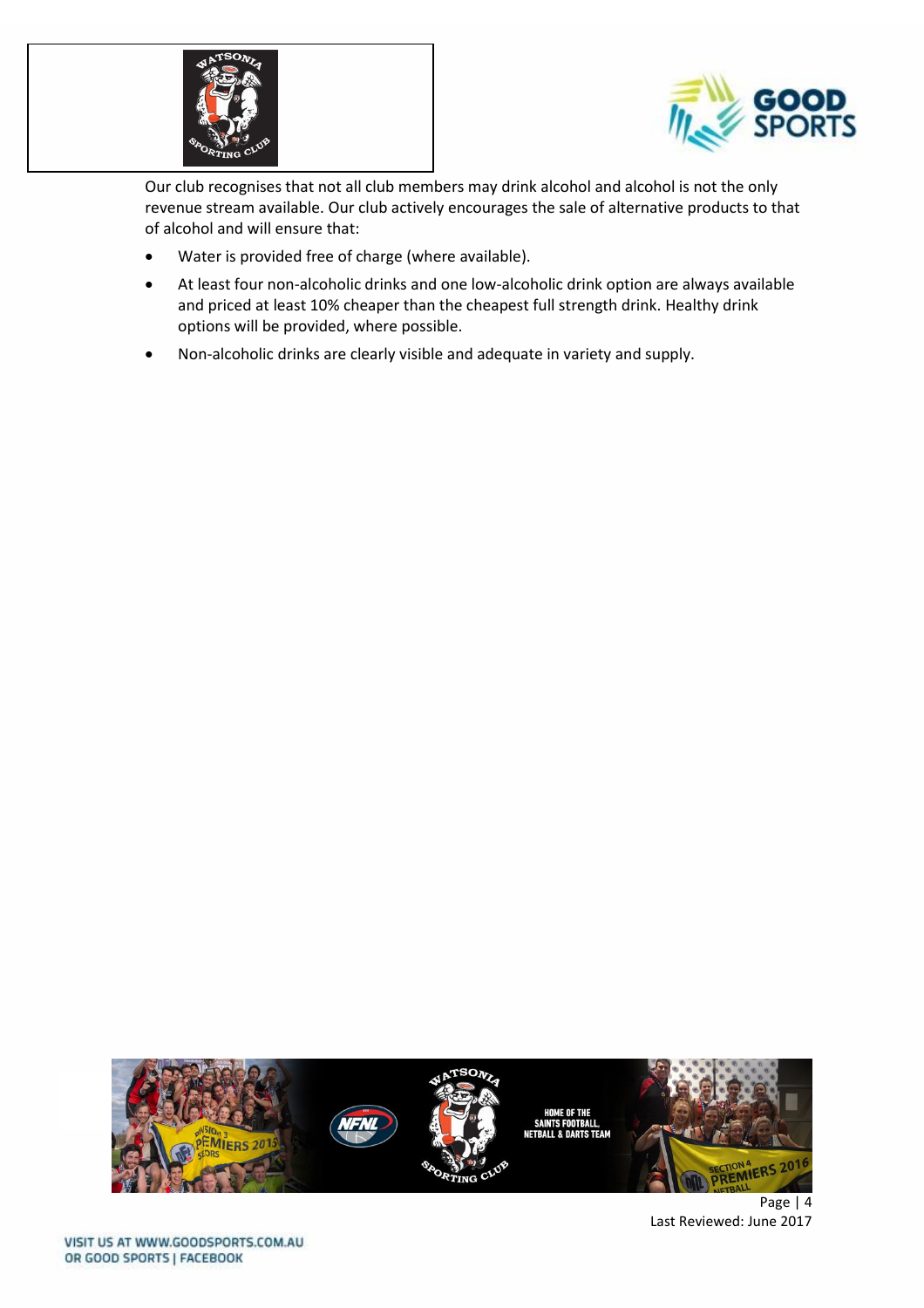



Our club recognises that not all club members may drink alcohol and alcohol is not the only revenue stream available. Our club actively encourages the sale of alternative products to that of alcohol and will ensure that:

- Water is provided free of charge (where available).
- At least four non-alcoholic drinks and one low-alcoholic drink option are always available and priced at least 10% cheaper than the cheapest full strength drink. Healthy drink options will be provided, where possible.
- Non-alcoholic drinks are clearly visible and adequate in variety and supply.



Page | 4 Last Reviewed: June 2017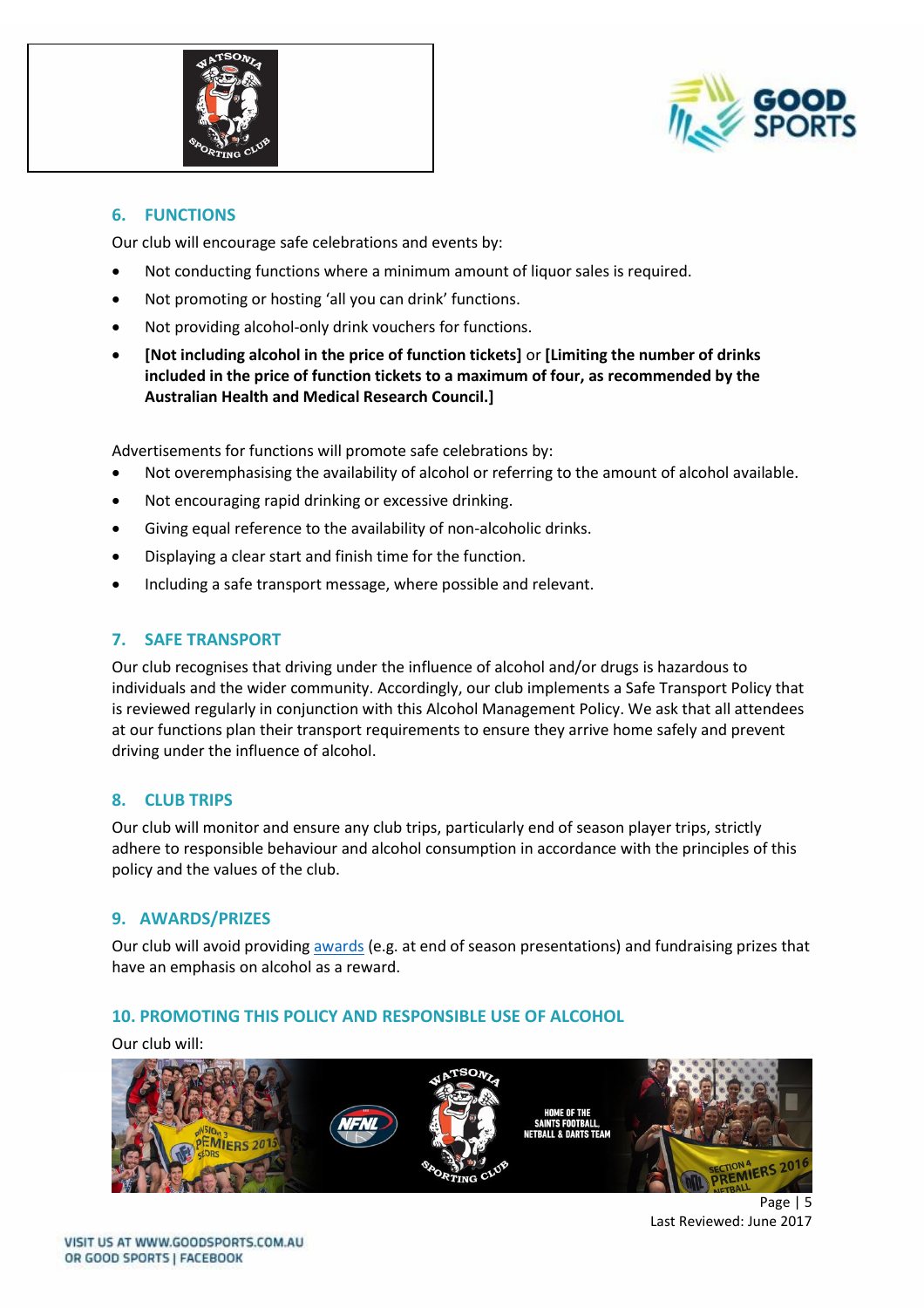



#### **6. FUNCTIONS**

Our club will encourage safe celebrations and events by:

- Not conducting functions where a minimum amount of liquor sales is required.
- Not promoting or hosting 'all you can drink' functions.
- Not providing alcohol-only drink vouchers for functions.
- **[Not including alcohol in the price of function tickets]** or **[Limiting the number of drinks included in the price of function tickets to a maximum of four, as recommended by the Australian Health and Medical Research Council.]**

Advertisements for functions will promote safe celebrations by:

- Not overemphasising the availability of alcohol or referring to the amount of alcohol available.
- Not encouraging rapid drinking or excessive drinking.
- Giving equal reference to the availability of non-alcoholic drinks.
- Displaying a clear start and finish time for the function.
- Including a safe transport message, where possible and relevant.

## **7. SAFE TRANSPORT**

Our club recognises that driving under the influence of alcohol and/or drugs is hazardous to individuals and the wider community. Accordingly, our club implements a Safe Transport Policy that is reviewed regularly in conjunction with this Alcohol Management Policy. We ask that all attendees at our functions plan their transport requirements to ensure they arrive home safely and prevent driving under the influence of alcohol.

#### **8. CLUB TRIPS**

Our club will monitor and ensure any club trips, particularly end of season player trips, strictly adhere to responsible behaviour and alcohol consumption in accordance with the principles of this policy and the values of the club.

#### **9. AWARDS/PRIZES**

Our club will avoid providing [awards](http://goodsports.com.au/resources/alternatives-alcohol-prizes/) (e.g. at end of season presentations) and fundraising prizes that have an emphasis on alcohol as a reward.

#### **10. PROMOTING THIS POLICY AND RESPONSIBLE USE OF ALCOHOL**

Our club will:



Page | 5 Last Reviewed: June 2017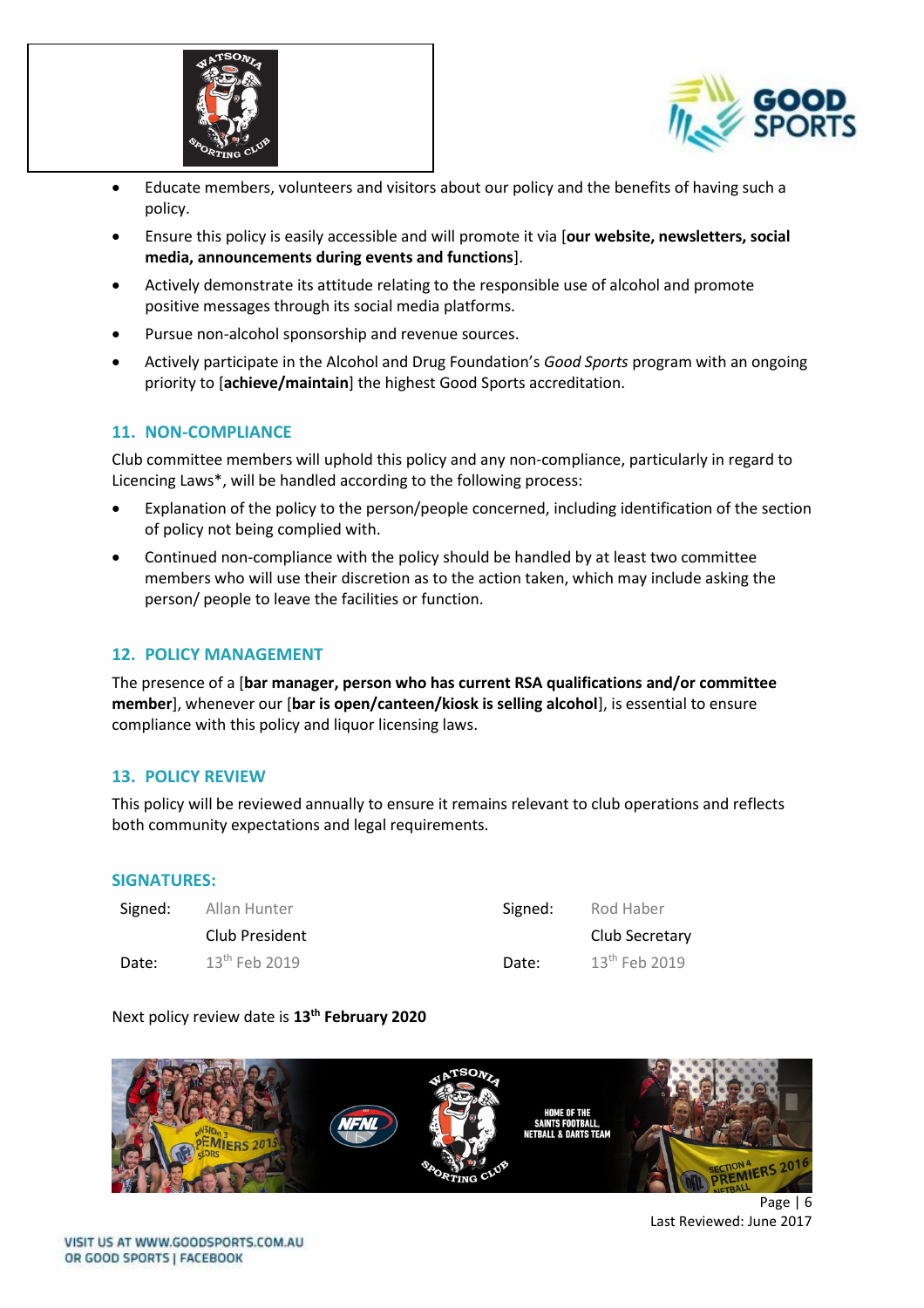



- Educate members, volunteers and visitors about our policy and the benefits of having such a policy.
- Ensure this policy is easily accessible and will promote it via [**our website, newsletters, social media, announcements during events and functions**].
- Actively demonstrate its attitude relating to the responsible use of alcohol and promote positive messages through its social media platforms.
- Pursue non-alcohol sponsorship and revenue sources.
- Actively participate in the Alcohol and Drug Foundation's *Good Sports* program with an ongoing priority to [**achieve/maintain**] the highest Good Sports accreditation.

## **11. NON-COMPLIANCE**

Club committee members will uphold this policy and any non-compliance, particularly in regard to Licencing Laws\*, will be handled according to the following process:

- Explanation of the policy to the person/people concerned, including identification of the section of policy not being complied with.
- Continued non-compliance with the policy should be handled by at least two committee members who will use their discretion as to the action taken, which may include asking the person/ people to leave the facilities or function.

#### **12. POLICY MANAGEMENT**

The presence of a [**bar manager, person who has current RSA qualifications and/or committee member**], whenever our [**bar is open/canteen/kiosk is selling alcohol**], is essential to ensure compliance with this policy and liquor licensing laws.

#### **13. POLICY REVIEW**

This policy will be reviewed annually to ensure it remains relevant to club operations and reflects both community expectations and legal requirements.

#### **SIGNATURES:**

| Signed: | Allan Hunter    | Signed: | Rod Haber       |
|---------|-----------------|---------|-----------------|
|         | Club President  |         | Club Secretary  |
| Date:   | $13th$ Feb 2019 | Date:   | $13th$ Feb 2019 |

#### Next policy review date is **13th February 2020**



Page | 6 Last Reviewed: June 2017